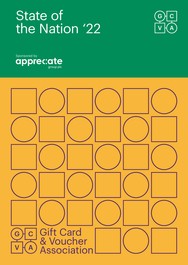# State of the Nation '22





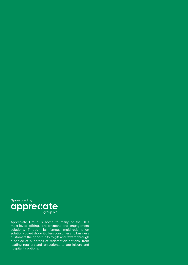

Appreciate Group is home to many of the UK's most-loved gifting, pre-payment and engagement solutions. Through its famous multi-redemption solution - Love2shop - it offers consumer and business customers the opportunity to gift and reward through a choice of hundreds of redemption options, from leading retailers and attractions, to top leisure and hospitality options.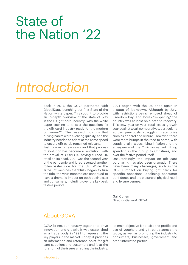# State of the Nation '22

# *Introduction*

Back in 2017, the GCVA partnered with GlobalData, launching our first State of the Nation white paper. This sought to provide an in-depth overview of the state of play in the UK gift card industry, with the white paper seeking to answer the question: "is the gift card industry ready for the modern consumer?". The research told us that buying habits were evolving quickly, and the industry needed to adapt at the same speed to ensure gift cards remained relevant.

Fast forward a few years and that process of evolution has become a revolution, with the arrival of COVID-19 having turned UK retail on its head. 2021 was the second year of the pandemic and it represented another rollercoaster ride for the UK. While the arrival of vaccines thankfully began to turn the tide, the virus nonetheless continued to have a dramatic impact on both businesses and consumers, including over the key peak festive period.

2021 began with the UK once again in a state of lockdown. Although by July, with restrictions being removed ahead of 'Freedom Day' and stores 're-opening' the country was at least on a path to recovery. This saw year-on-year retail sales growth soar against weak comparatives, particularly across previously struggling categories such as apparel and leisure. However, there were more bumps in the road to come, with supply chain issues, rising inflation and the emergence of the Omicron variant hitting spending in the run-up to Christmas, and over the festive period itself.

Unsurprisingly, the impact on gift card purchasing has also been dramatic. There have been many challenges, such as the COVID impact on buying gift cards for specific occasions, declining consumer confidence and the closure of physical retail and leisure venues.

Gail Cohen *Director General, GCVA*

#### About GCVA

GCVA brings our industry together to drive innovation and growth. It was established as a trade body in 1991 to represent the key players in the market. Today, it provides an information and reference point for gift card suppliers and customers and is at the forefront of the issues affecting the industry. Its main objective is to raise the profile and use of vouchers and gift cards across the globe, as well as promoting the industry to consumers, businesses, government and other interested parties.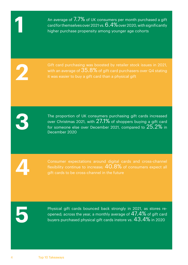An average of  $7.7\%$  of UK consumers per month purchased a gift card for themselves over 2021 vs.  $6.4\%$  over 2020, with significantly higher purchase propensity among younger age cohorts

Gift card purchasing was boosted by retailer stock issues in 2021, with an average of  $35.8\%$  of gift card purchasers over Q4 stating it was easier to buy a gift card than a physical gift

The proportion of UK consumers purchasing gift cards increased over Christmas 2021, with  $27.1\%$  of shoppers buying a gift card for someone else over December 2021, compared to 25.2% in December 2020

Consumer expectations around digital cards and cross-channel flexibility continue to increase;  $40.8\%$  of consumers expect all gift cards to be cross-channel in the future

Physical gift cards bounced back strongly in 2021, as stores reopened; across the year, a monthly average of  $47.4\%$  of gift card buyers purchased physical gift cards instore vs.  $43.4\%$  in 2020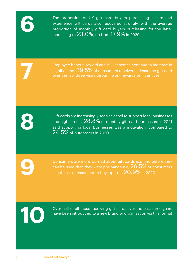The proportion of UK gift card buyers purchasing leisure and experience gift cards also recovered strongly, with the average proportion of monthly gift card buyers purchasing for the latter increasing to 23.0%, up from 17.9% in 2020

Employee benefit, reward and B2B schemes continue to increase in significance:  $39.5\%$  of consumers received at least one gift card over the last three years through work rewards or incentives

Gift cards are increasingly seen as a tool to support local businesses and high streets;  $28.8\%$  of monthly gift card purchasers in 2021 said supporting local businesses was a motivation, compared to 24.5% of purchasers in 2020

Consumers are more worried about gift cards expiring before they  $\sim$  can be used than they were pre-pandemic;  $26.5\%$  of consumers see this as a reason not to buy, up from  $20.9\%$  in 2020



Over half of all those receiving gift cards over the past three years have been introduced to a new brand or organisation via this format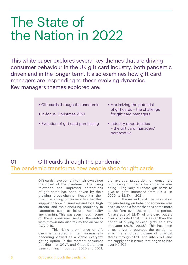# The State of the Nation in 2022

This white paper explores several key themes that are driving consumer behaviour in the UK gift card industry, both pandemic driven and in the longer term. It also examines how gift card managers are responding to these evolving dynamics. Key managers themes explored are:

- Gift cards through the pandemic
- In-focus: Christmas 2021
- Evolution of gift card purchasing
- Maximizing the potential of gift cards – the challenge for gift card managers
- Industry opportunities – the gift card managers' perspective

# 01 Gift cards through the pandemic The pandemic transforms how people shop for gift cards

Gift cards have come into their own since the onset of the pandemic. The rising relevance and improved perceptions of gift cards has been driven by their growing cross-channel flexibility; their role in enabling consumers to offer their support to local businesses and local high streets; and their enduring popularity in categories such as leisure, hospitality and gaming. This was even though some of these consumer sectors themselves were thrown into disarray by the arrival of COVID-19.

This rising prominence of gift cards is reflected in them increasingly becoming viewed as a viable everyday gifting option. In the monthly consumer tracking that GCVA and GlobalData have been running throughout 2020 and 2021,

the average proportion of consumers purchasing gift cards for someone else citing 'I regularly purchase gift cards to give as gifts' increased from 30.3% in 2020, to 32.8% in 2021.

The second most cited motivation for purchasing on behalf of someone else has also been a factor that has come more to the fore over the pandemic period. An average of 32.4% of gift card buyers over 2021 cited that 'it is easier than the option of buying physical gifts' as a key motivator (2020: 29.6%). This has been a key driver throughout the pandemic, amid the enforced closure of physical stores through 2020 and into 2021, and the supply chain issues that began to bite over H2 2021.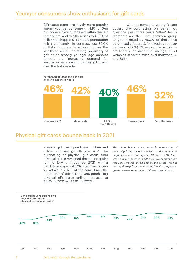#### Younger consumers show enthusiasm for gift cards

Gift cards remain relatively more popular among younger consumers. 41.9% of Gen Z shoppers have purchased within the last three years, and this then rises to 45.8% of millennial shoppers. From here penetration falls significantly. In contrast, just 32.0% of Baby Boomers have bought over the last three years. The strong popularity of gift cards among younger age cohorts reflects the increasing demand for leisure, experience and gaming gift cards over the last decade.

When it comes to who gift card buyers are purchasing on behalf of, over the past three years 'other' family members are the most common group to gift to (cited by 48.3% of those that purchased gift cards), followed by spouse/ partners (28.0%). Other popular recipients are friends, children and siblings, all of which sit at very similar level (between 25 and 28%).

Purchased at least one gift card over the last three years Generation Z Millennials All Gift Card Buyers Generation X Baby Boomers **46% 42% 40% 46% 32%**

#### Physical gift cards bounce back in 2021

Physical gift cards purchased instore and online both saw growth over 2021. The purchasing of physical gift cards from physical stores remained the most popular form of buying throughout 2021, with a monthly average of 47.4% of gift card buyers vs. 43.4% in 2020. At the same time, the proportion of gift card buyers purchasing physical gift cards online increased to 36.4% in 2021 vs. 33.9% in 2020.

*This chart below shows monthly purchasing of physical gift card instore over 2021. As the restrictions began to be lifted through late Q1 and into Q2, there was a marked increase in gift card buyers purchasing this way. This was driven both by the greater ease of making these gift card purchases, but also the parallel greater ease in redemption of these types of cards.*

Gift card buyers purchasing physical gift card in physical stores over 2022'

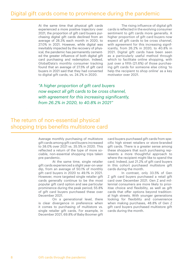At the same time that physical gift cards experienced a more positive trajectory over 2021, the proportion of gift card buyers purchasing digital gift cards declined from an average of 28.3% each month in 2020, to 27.0% in 2021. However, while digital was inevitably impacted by the recovery of physical, the pandemic has permanently cemented the greater influence of both digital gift card purchasing and redemption. Indeed, GlobalData's monthly consumer tracking found that an average of 27.5% of gift card buyers in 2021 said that they had converted to digital gift cards, vs. 24.2% in 2020.

The rising influence of digital gift cards is reflected in the evolving consumer sentiment to gift cards more generally. A higher proportion of gift card buyers now expect all gift cards to be cross channel, with agreement for this increasing significantly, from 26.2% in 2020, to 40.8% in 2021. Digital gift cards have been seen as a particularly useful method through which to facilitate online shopping, with just over a fifth (21.6%) of those purchasing gift cards for someone else citing 'to help the recipient to shop online' as a key motivator over 2021.

*"A higher proportion of gift card buyers now expect all gift cards to be cross channel, with agreement for this increasing significantly, from 26.2% in 2020, to 40.8% in 2021"*

### The return of non-essential physical shopping trips benefits multistore card

Average monthly purchasing of multistore gift cards among gift card buyers increased to 38.0% over 2021 vs. 35.5% in 2020. This reflected a return of the type of more sociable, non-essential shopping trips taken pre-pandemic.

At the same time, single retailer gift cards experienced a slight year-on-year dip, from an average of 50.1% of monthly gift card buyers in 2020 to 49.1% in 2021. However, more targeted single retailer gift cards generally continue to be the most popular gift card option and see particular prominence during the peak period; 55.8% of gift card buyers purchased these over December 2021.

On a generational level, there is clear divergence in preference when it comes to purchasing of multistore vs. single retailer gift cards. For example, in December 2021, 69.8% of Baby Boomer gift card buyers purchased gift cards from specific high street retailers or store-branded gift cards. There is a greater sense among these shoppers that such purchasing represents a more thoughtful approach to where the recipient might like to spend the card. Indeed, just 21.2% of gift card buyers in this cohort purchased multistore gift cards during the month.

In contrast, only 33.5% of Gen Z gift card buyers purchased a retail gift card over December 2021. Gen Z and millennial consumers are more likely to prioritise choice and flexibility, as well as gift cards that offer options beyond traditional high streets. With younger generations looking for flexibility and convenience when making purchases, 48.8% of Gen Z gift card buyers purchased multistore gift cards during the month.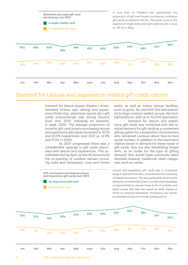*In June 2021, as 'Freedom Day' approached, the proportion of gift card buyers purchasing multistore gift cards increased to 40.5%. This partly came at the expense of single store retail gift cards (45.2% in June vs. 48.7% in May).* Jan 36% 50% May 36% 49% Sep 37% 53% Feb 38% 48% June 40% 45% Oct 43% 48% Mar 39% 50% July 39% 45% Nov 35% 52% Apr 38% 44% Aug 40% 50% Dec 35% 56% Multistore and retail gift card purchasing over 2021 A single retailer card A multistore gift card

### Demand for Leisure and experience related gift cards returns

Demand for leisure (travel, theatre / entertainment tickets, spa, dining) and experience (hotel stay, adventure sports etc.) gift cards unsurprisingly saw strong bounce back over 2021, following an extremely weak 2020. The average proportion of monthly gift card buyers purchasing leisure and experience gift cards increased to 15.1% and 23.0% respectively, over 2021 vs. 12.9% and 17.9% in 2020.

As 2021 progressed there was a considerable upsurge in gift cards associated with leisure and experiences. This accelerated during April, as the UK announced the re-opening of outdoor venues including pubs and restaurants, zoos and theme

Gift card buyers purchasing Leisure and Experience gift cards over 2022 An experience gift card

A leisure gift card

parks, as well as indoor leisure facilities, such as gyms. By mid-2021 this had extended to large outdoor seated venues, like football stadiums, with up to 10,000 spectators.

Demand for leisure and experience gift cards was combined with the residual demand for gift cards as a convenient gifting option for a proportion of consumers who remained cautious about face-to-face social contact. In addition to the short-term relative boost in demand for these types of gift cards, they are also benefitting longer term, as an outlet for the type of gifting demand that would have previously been directed towards traditional retail categories, such as media.

*Leisure and experience gift cards saw a continuous surge in demand from May onwards amid the loosening of related restrictions. This was particularly driven by the behaviour of millennials & Gen Z, as they took advantage of opportunities to resume these kinds of activities and spent money that they had saved up while staying at home on enjoying themselves. Purchasing was further accelerated during the summer holiday period.*

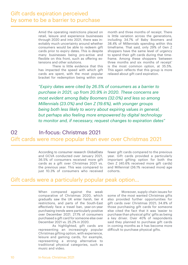### Gift cards expiration perceived by some to be a barrier to purchase

Amid the operating restrictions placed on retail, leisure and experience businesses through 2020 and into 2021, there was inevitably much uncertainty around whether consumers would be able to redeem gift cards prior to expiry dates. This is despite many businesses being pro-active and flexible on this front, such as offering extensions and other solutions.

There is little evidence that this has impacted the speed with which gift cards are spent, with the most popular bracket for redemption being within one month and three months of receipt. There is little variation across the generations, including 34.7% of Baby Boomers and 38.4% of Millennials spending within this timeframe. That said, only 29% of Gen Z shoppers have the same level of urgency to spend their gift cards during that timeframe. Among these shoppers 'between three months and six months of receipt' is the most common option, at 35.5%. This again reflects that this group is more relaxed about gift card expiration.

*"Expiry dates were cited by 26.5% of consumers as a barrier to purchase in 2021, up from 20.9% in 2020. These concerns are most evident among Baby Boomers (32.0%) and less so among Millennials (23.0%) and Gen Z (19.6%), with younger groups being both less likely to worry about expiring values in general, but perhaps also feeling more empowered by digital technology to monitor and, if necessary, request changes to expiration dates"*

# 02 In-focus: Christmas 2021 Gift cards were more popular than ever over Christmas 2021

According to consumer research GlobalData and GCVA conducted over January 2021, 36.5% of consumers received more gift cards as a gift over Christmas 2021 vs. the previous year. This was compared to just 10.3% of consumers who received

fewer gift cards compared to the previous year. Gift cards provided a particularly important gifting option for both the Gen Z (40.6% received more gift cards) and Millennial (36.1% received more) age cohorts.

#### Gift cards were a particularly popular peak option…

When compared against the weak comparative of Christmas 2020, which gradually saw the UK enter harsh, tier 4 restrictions, and parts of the South-East effectively face a travel ban, year-on-year purchasing trends were particularly positive over December 2021. 27.1% of consumers purchased a gift card for someone else over December 2021 vs. 25.2% in 2020.

As highlighted, gift cards are representing an increasingly popular Christmas gifting option, with experience, leisure and gaming cards, for example, representing a strong alternative to traditional physical categories, such as music and video.

Moreover, supply chain issues for some of the most wanted Christmas gifts also provided further opportunities for gift cards over Christmas 2021; 34.8% of those purchasing gift cards for someone else cited the fact that it was 'easier to purchase than physical gifts' gifts as being a key driver. Over 40% of respondents said they planned to purchase gift cards in coming months as it has become more difficult to purchase physical gifts.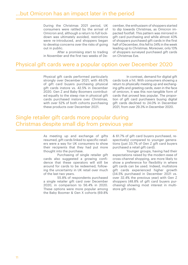During the Christmas 2021 period, UK consumers were rattled by the arrival of Omicron and, although a return to full lockdown was ultimately avoided, restrictions were re-introduced, and shoppers began to develop concerns over the risks of going out in public.

After a promising start to trading in November and the first two weeks of December, the enthusiasm of shoppers started to dip towards Christmas, as Omicron impacted footfall. This pattern was mirrored in gift card purchasing and while almost 43% of shoppers purchased gift cards in the first half of December, this fell to 34% in the week leading up to Christmas. Moreover, only 13% of shoppers surveyed purchased gift cards on Christmas Eve.

#### Physical gift cards were a popular option over December 2020

Physical gift cards performed particularly strongly over December 2021, with 49.0% of gift card buyers purchasing physical gift cards instore vs. 42.5% in December 2020. Gen Z and Baby Boomers contributed equally to the steep rise in physical gift cards purchased instore over Christmas, with over 52% of both cohorts purchasing these products over December 2021.

In contrast, demand for digital gift cards took a hit. With consumers showing a return to physically meeting up and exchanging gifts and greeting cards, even in the face of omicron, it was this non-tangible form of cards that proved less popular. The proportion of gift card purchasers buying digital gift cards declined to 24.0% in December 2021, from over 29.3% in December 2020.

### Single retailer gift cards more popular during Christmas despite small dip from previous year

As meeting up and exchange of gifts resumed, gift cards linked to specific retailers were a way for UK consumers to show their recipients that they had put more thought into the purchase.

Purchasing of single retailer gift cards also suggested a growing confidence that these operators will still be around for cards to be redeemed, following the uncertainty in UK retail over much of the last two years.

55.8% of respondents purchased a single retailer gift card over December 2020, in comparison to 56.4% in 2020. These options were more popular among the Baby Boomer & Gen X cohorts (69.8% & 61.7% of gift card buyers purchased, respectively) compared to younger generations (just 33.7% of Gen Z gift card buyers purchased a retail gift card).

Younger groups, having had their expectations raised by the modern ease of cross-channel shopping, are more likely to show a preference for flexibility in where gift cards can be used. Indeed, multistore gift cards experienced higher growth (34.5% purchased in December 2021 vs. over 32.4% the previous year) with Gen Z shoppers (48.8% of gift card buyers purchasing) showing most interest in multistore gift cards.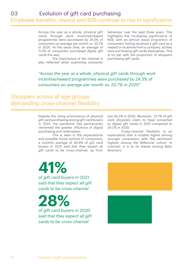Across the year as a whole, physical gift cards through work incentive/reward programmes were purchased by 24.5% of consumers on average per month vs. 23.7% in 2020. At the same time, an average of 11.2% of consumers purchased digital gift cards this way.

The importance of the channel is also reflected when examining consumer behaviour over the past three years. This highlights the increasing significance of B2B, with an almost equal proportion of consumers having received a gift card as a reward or incentive from a company, as they have purchasing gift cards themselves. This is on par with the proportion of shoppers purchasing gift cards.

*"Across the year as a whole, physical gift cards through work incentive/reward programmes were purchased by 24.5% of consumers on average per month vs. 23.7% in 2020"*

#### Shoppers across all age groups demanding cross-channel flexibility

Despite the rising prominence of physical gift card purchasing among gift card buyers in 2021, the pandemic has permanently cemented the greater influence of digital purchasing and redemption.

This is seen in the expectations and possible future actions of consumers; a monthly average of 40.8% of gift card buyers in 2021 said that they expect all gift cards to be cross-channel, up from just 26.2% in 2020. Moreover, 27.7% of gift card shoppers claim to have converted to digital gift cards in 2021 compared to 24.2% in 2020.

Cross-channel flexibility is an expectation that is notably higher among younger consumers, with this sentiment highest among the Millennial cohort. In contrast, it is at its lowest among Baby Boomers.

*of gift card buyers in 2021 said that they expect all gift cards to be cross-channel* **41%**

**28%**

*of gift card buyers in 2020 said that they expect all gift cards to be cross-channel*

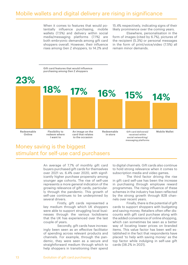#### Mobile wallets and digital delivery are rising in significance

When it comes to features that would potentially influence purchasing, mobile wallets (7.5%) and delivery within social media/messaging platforms (7.1%) are both embryonic demands among gift card shoppers overall. However, their influence rises among Gen Z shoppers, to 14.2% and

15.4% respectively, indicating signs of their likely prominence over the coming years.

Elsewhere, personalisation in the form of images (cited by 6.7%), pictures of the recipient (5.3%) or personal messages in the form of print/voice/video (7.5%) all remain minor demands.



# Money saving is the biggest stimulant for self-use card purchasers

An average of 7.7% of monthly gift card buyers purchased gift cards for themselves over 2021 vs. 6.4% over 2020, with significantly higher purchase propensity among younger age cohorts. The rise of self-use represents a more general indication of the growing relevance of gift cards, particularly through the pandemic. This growth of self-use continues to be underpinned by several drivers.

Firstly, gift cards represented a key medium through which UK shoppers were able to support struggling local businesses through the various lockdowns that the UK has experienced over the last couple of years.

Secondly, gift cards have increasingly been seen as an effective facilitator of spending across relevant products and channels. For example, through the pandemic, they were seen as a secure and straightforward medium through which to help shoppers in transitioning their spend to digital channels. Gift cards also continue to hold strong relevance when it comes to subscription media and video games.

The third factor driving the rise in gift card self-use has been the increase in purchasing through employee reward programmes. The rising influence of these schemes in the industry has been reflected by the strong growth through B2B channels over recent years.

Finally, there is the potential of gift cards to support shoppers with budgeting and saving money. Retailers often offer discounts with gift card purchase along with the added convenience of online shopping, which can sometimes be seen as a better way of locating lower prices on branded items. This value factor has been well established in the fact that respondents have placed 'to help with saving money' as the top factor while indulging in self-use gift cards (38.2% in 2021).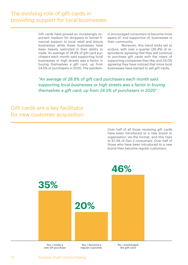# The evolving role of gift cards in providing support for local businesses

Gift cards have proved an increasingly important medium for shoppers to funnel financial support to local retail and leisure businesses while these businesses have been heavily restricted in their ability to trade. An average of 28.8% of gift card purchasers each month said supporting local businesses or high streets was a factor in buying themselves a gift card, up from 24.5% of purchasers in 2020. The pandemic encouraged consumers to become more aware of, and supportive of, businesses in their community.

Moreover, this trend looks set to endure, with over a quarter (26.4%) of respondents agreeing that they will continue to purchase gift cards with the intent of supporting companies they like, and 34.0% agreeing they have noticed that more local businesses have started to sell gift cards.

*"An average of 28.8% of gift card purchasers each month said supporting local businesses or high streets was a factor in buying themselves a gift card, up from 24.5% of purchasers in 2020"*

### Gift cards are a key facilitator for new customer acquisition

Over half of all those receiving gift cards have been introduced to a new brand or organisation via the format, and this rises to 67.3% of Gen Z consumers. Over half of those who have been introduced to a new brand then become regular customers.

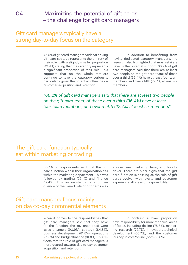# 04 Maximizing the potential of gift cards – the challenge for gift card managers

### Gift card managers typically have a strong day-to-day focus on the category

45.5% of gift card managers said that driving gift card strategy represents the entirety of their role, with a slightly smaller proportion (42.4%) stating that the category represents a significant proportion of their role. This suggests that on the whole retailers continue to take the category seriously, particularly given the potential influence on customer acquisition and retention.

In addition to benefitting from having dedicated category managers, the research also highlighted that most retailers have further internal support. 68.2% of gift card managers said that there are at least two people on the gift card team; of these over a third (36.4%) have at least four team members, and over a fifth (22.7%) at least six members.

*"68.2% of gift card managers said that there are at least two people on the gift card team; of these over a third (36.4%) have at least four team members, and over a fifth (22.7%) at least six members"*

# The gift card function typically sat within marketing or trading

30.4% of respondents said that the gift card function within their organisation sits within the marketing department. This was followed by trading (26.1%) and finance (17.4%). This inconsistency is a consequence of the varied role of gift cards – as a sales line, marketing lever, and loyalty driver. There are clear signs that the gift card function is shifting as the role of gift cards evolve, with loyalty and customer experience all areas of responsibility.

# Gift card mangers focus mainly on day-to-day commercial elements

When it comes to the responsibilities that gift card managers said that they have for the function, the key ones cited were sales channels (90.9%), strategy (84.8%), business development (81.8%), operations (81.8%) and budget/finance (81.8%). This reflects that the role of gift card managers is more geared towards day-to-day customer acquisition and retention.

In contrast, a lower proportion have responsibility for more technical areas of focus, including design (78.8%), marketing research (72.7%), innovation/technical development (66.7%), and the customer journey instore/online (both 63.6%).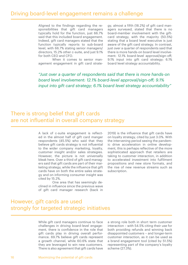#### Driving board-level engagement remains a challenge

Aligned to the findings regarding the responsibilities that gift card managers typically hold for the function, just 66.7% said that this included board engagement. Indeed, gift card managers stated that the function typically reports to sub-board level, with 66.7% stating senior managers/ directors, 15.2% other c-suite, and just 9.1% for both CEO and CFO.

When it comes to senior management engagement in gift card strategy, almost a fifth (18.2%) of gift card managers surveyed, stated that there is no board-member involvement with the giftcard strategy, with the majority (50.5%) stating that a board level executive is just aware of the gift card strategy. In contrast, just over a quarter of respondents said that there is more hands-on board level involvement: 12.1% board-level approval/sign-off; 9.1% input into gift card strategy; 6.1% board level strategy accountability.

*"Just over a quarter of respondents said that there is more hands-on board level involvement: 12.1% board-level approval/sign-off; 9.1% input into gift card strategy; 6.1% board level strategy accountability"*

## There is strong belief that gift cards are not influential in overall company strategy

A lack of c-suite engagement is reflected in the almost half of gift card manger respondents (45.5%) who said that they believe gift cards strategy is not influential to the wider company marketing, loyalty, customer insight and/or sales strategies. However, the picture is not universally bleak here. Over a third of gift card managers said that gift cards are part of their marketing strategy, while the influence that gift cards have on both the entire sales strategy and on informing consumer insight was cited by 15.2%.

One area that has seemingly declined in influence since the previous wave of gift card manager research (back in 2019) is the influence that gift cards have on loyalty strategy, cited by just 3.0%. With the intervening period seeing the pandemic drive acceleration in online development, this is perhaps reflective of the more sophisticated approach that retailers are taking to customer interaction, in addition to accelerated investment into fulfilment propositions and new store formats, and the rise of new revenue streams such as subscription.

#### However, gift cards are used strongly for targeted strategic initiatives

While gift card managers continue to face challenges in driving board-level engagement, there is confidence in the role that gift cards play in driving overall performance. 69.7% believe gift cards represent a growth channel, while 60.6% state that they are leveraged to win new customers. There is also agreement that gift cards have a strong role both in short term customer interaction – with 54.5% citing their use for both providing refunds and winning back disappointed customers – and longer-term customer interaction, as it can be used as a brand engagement tool (cited by 51.5%) representing part of the company's loyalty scheme (27.3%).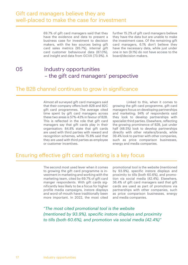69.7% of gift card managers said that they have the evidence and data to present a business case for investment to decision makers, with the key sources being gift card sales metrics (95.7%), internal gift card customer behavioural data (87.0%), and insight and data from GCVA (73.9%). A

further 15.2% of gift card managers believe they have the data but are unable to make the investment case. Of the remaining gift card managers, 6.1% don't believe they have the necessary data, while just under one in ten (9.1%) do not have access to the board/decision makers.

#### 05 Industry opportunities – the gift card managers' perspective

# The B2B channel continues to grow in significance

Almost all surveyed gift card managers said that their company offers both B2B and B2C gift card programmes. The average cited time spent by gift card managers across these two areas is 57%-43% in favour of B2B. This is reflected in the role that gift card managers say that gift cards play in their organisation; 84.8% state that gift cards are used with third parties with reward and recognition schemes, while 75.8% said that they are used with third parties as employee or customer incentives.

Linked to this, when it comes to growing the gift card programme, gift card managers focus on developing partnerships and marketing; 94% of respondents said they look to develop partnerships with specialist third parties. Elsewhere, reflecting the growing prominence of B2B, just under half (48.5%) look to develop partnerships directly with other retailers/brands, while 39.4% look to partner with other companies, such as price comparison businesses, energy and media companies.

### Ensuring effective gift card marketing is a key focus

The second most used lever when it comes to growing the gift card programme is investment in marketing and working with the marketing team, cited by 69.7% of gift card manger respondents. With gift cards significantly less likely to be a focus for higher profile media campaigns, instore displays and word-of-mouth have traditionally been more important. In 2022, the most cited promotional tool is the website (mentioned by 93.9%), specific instore displays and proximity to tills (both 60.6%), and promotion via social media (42.4%). Elsewhere, 36.4% of gift card managers said that gift cards are used as part of promotions via partnerships with other companies, such as price comparison businesses, energy and media companies.

*"The most cited promotional tool is the website (mentioned by 93.9%), specific instore displays and proximity to tills (both 60.6%), and promotion via social media (42.4%)"*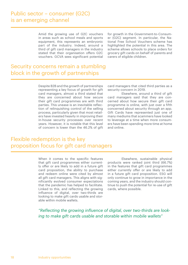#### Public sector – consumer (G2C) is an emerging channel

Amid the growing use of G2C vouchers in areas such as school meals and sports equipment, this represents an embryonic part of the industry. Indeed, around a third of gift card managers in the industry stated that their organisation offers G2C vouchers. GCVA sees significant potential

for growth in the Government-to-Consumer (G2C) segment. In particular, the National Free School Vouchers scheme has highlighted the potential in this area. The scheme allows schools to place orders for grocery gift cards on behalf of parents and carers of eligible children.

#### Security concerns remain a stumbling block in the growth of partnerships

Despite B2B and the growth of partnerships representing a key focus of growth for gift card managers, almost a third stated that they are concerned about how secure their gift card programmes are with third parties. This unease is an inevitable reflection of relinquishing control of the selling process, particularly given that most retailers have invested heavily in improving their in-house security processes over recent years. However, it is notable that this level of concern is lower than the 46.2% of gift card managers that cited third parties as a security concern in 2019.

Elsewhere, around a third of gift card managers said that they are concerned about how secure their gift card programme is online, with just over a fifth concerned about security through an app. Gift Cards have represented just one of many mediums that scammers have looked to leverage at a time when more consumers have been spending more time at home and online.

# Flexible redemption is the key proposition focus for gift card managers

When it comes to the specific features that gift card programmes either currently offer or are likely to add in a future gift card proposition, the ability to purchase and redeem online were cited by almost all gift card managers. This aligns with significantly evolved consumer expectations that the pandemic has helped to facilitate. Linked to this, and reflecting the growing influence of digital, over two-thirds are looking to make gift cards usable and storable within mobile wallets.

Elsewhere, sustainable physical products were ranked joint third (66.7%) in the features that gift card programmes either currently offer or are likely to add in a future gift card proposition. ESG will only continue to grow in importance in the coming years, and the industry should continue to push the potential for re-use of gift cards, where possible.

*"Reflecting the growing influence of digital, over two-thirds are looking to make gift cards usable and storable within mobile wallets"*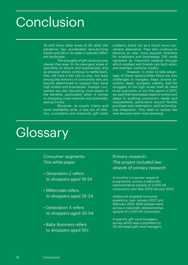# Conclusion

As with many other areas of UK retail, the pandemic has accelerated slow-burning trends and left in its wake a radically different landscape.

The strengths of gift cards are now clearer than ever. In the resurgent areas of spending on leisure and experiences, and as physical stores continue to battle back, they will have a key role to play, not least among the minority of consumers who are fiercely determined to support their local high streets and businesses. Younger consumers are also becoming more aware of the benefits, particularly when it comes to shopping cross-channel and potentially saving money.

Moreover, as supply chains and stock availability enter a new era of inflation, uncertainty and insecurity, gift cards suddenly stand out as a much more convenient alternative. They also continue to become an ever more popular incentive for employers and businesses. Gift cards represent an important medium through which retailers and brands can both attain and maintain customer loyalty.

However, in order to take advantage of these opportunities there are also challenges to navigate. Fears around expiration dates, company viability and the struggles of the high street itself all need to be overcome. In our first report in 2017, we said that businesses need to evolve and adapt to evolving consumers needs and requirements, particularly around flexible purchase and redemption, and technological integration. This need to evolve has now become even more pressing.

# **Glossary**

Consumer segments: *This white paper*

- Generation Z refers to shoppers aged 16-24
- Millennials refers to shoppers aged 25-34
- Generation X refers to shoppers aged 35-54
- Baby Boomers refers to shoppers aged 55+

Primary research: *This project included two strands of primary research*

A monthly consumer research programme, across a nationally representative sample of 2,000 UK consumers over May 2020-January 2022

Additional targeted consumer questions, over January 2022 and February 2022. Both phases were across a nationally representative sample of 2,000 UK consumers

A specific gift card managers survey which was completed by 33 UK-based gift card managers